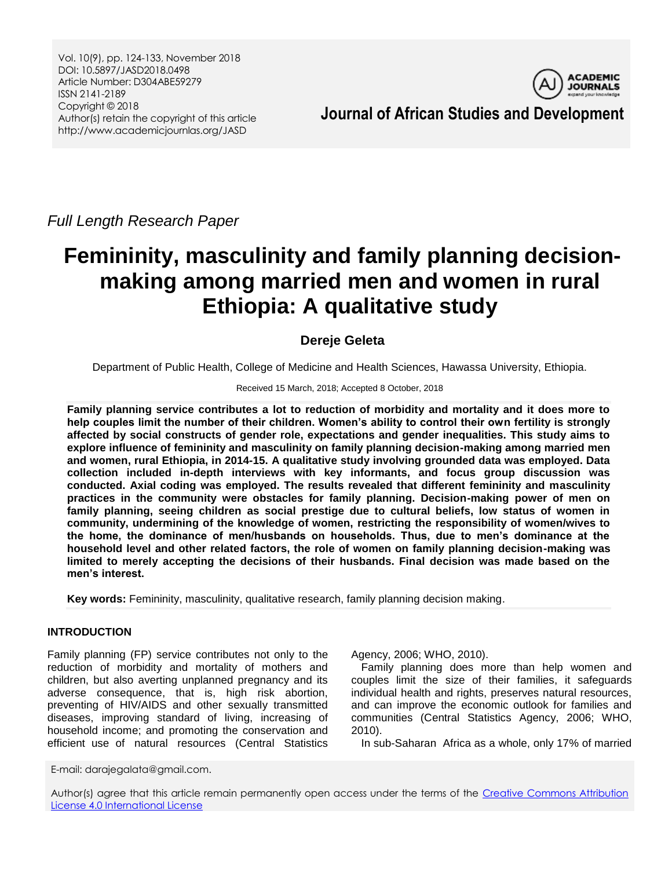Vol. 10(9), pp. 124-133, November 2018 DOI: 10.5897/JASD2018.0498 Article Number: D304ABE59279 ISSN 2141-2189 Copyright © 2018 Author(s) retain the copyright of this article http://www.academicjournlas.org/JASD



*Full Length Research Paper*

# **Femininity, masculinity and family planning decisionmaking among married men and women in rural Ethiopia: A qualitative study**

# **Dereje Geleta**

Department of Public Health, College of Medicine and Health Sciences, Hawassa University, Ethiopia.

### Received 15 March, 2018; Accepted 8 October, 2018

**Family planning service contributes a lot to reduction of morbidity and mortality and it does more to help couples limit the number of their children. Women's ability to control their own fertility is strongly affected by social constructs of gender role, expectations and gender inequalities. This study aims to explore influence of femininity and masculinity on family planning decision-making among married men and women, rural Ethiopia, in 2014-15. A qualitative study involving grounded data was employed. Data collection included in-depth interviews with key informants, and focus group discussion was conducted. Axial coding was employed. The results revealed that different femininity and masculinity practices in the community were obstacles for family planning. Decision-making power of men on family planning, seeing children as social prestige due to cultural beliefs, low status of women in community, undermining of the knowledge of women, restricting the responsibility of women/wives to the home, the dominance of men/husbands on households. Thus, due to men's dominance at the household level and other related factors, the role of women on family planning decision-making was limited to merely accepting the decisions of their husbands. Final decision was made based on the men's interest.**

**Key words:** Femininity, masculinity, qualitative research, family planning decision making.

# **INTRODUCTION**

Family planning (FP) service contributes not only to the reduction of morbidity and mortality of mothers and children, but also averting unplanned pregnancy and its adverse consequence, that is, high risk abortion, preventing of HIV/AIDS and other sexually transmitted diseases, improving standard of living, increasing of household income; and promoting the conservation and efficient use of natural resources (Central Statistics Agency, 2006; WHO, 2010).

Family planning does more than help women and couples limit the size of their families, it safeguards individual health and rights, preserves natural resources, and can improve the economic outlook for families and communities (Central Statistics Agency, 2006; WHO, 2010).

In sub-Saharan Africa as a whole, only 17% of married

E-mail: darajegalata@gmail.com.

Author(s) agree that this article remain permanently open access under the terms of the [Creative Commons Attribution](http://creativecommons.org/licenses/by/4.0/deed.en_US)  [License 4.0 International License](http://creativecommons.org/licenses/by/4.0/deed.en_US)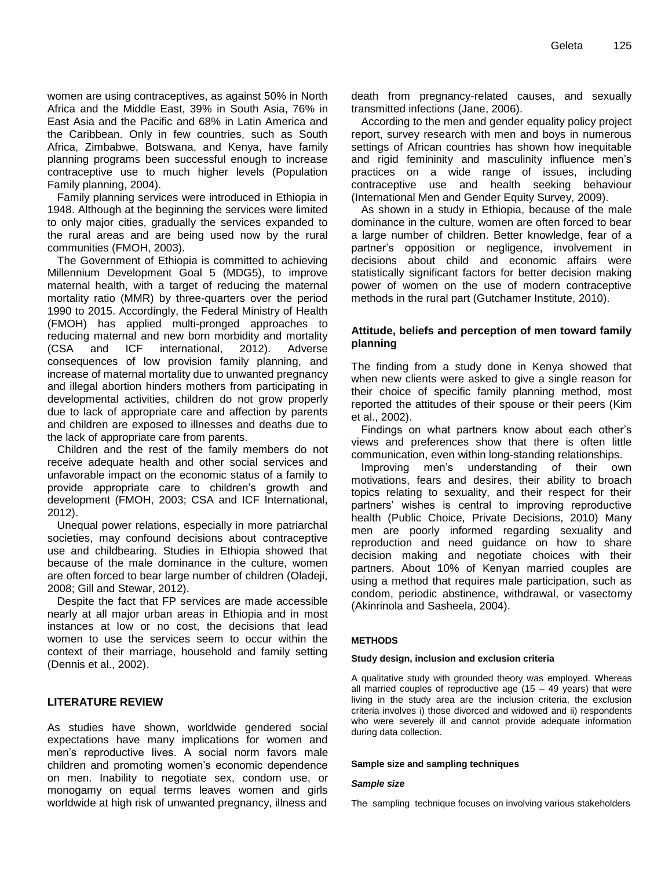women are using contraceptives, as against 50% in North Africa and the Middle East, 39% in South Asia, 76% in East Asia and the Pacific and 68% in Latin America and the Caribbean. Only in few countries, such as South Africa, Zimbabwe, Botswana, and Kenya, have family planning programs been successful enough to increase contraceptive use to much higher levels (Population Family planning, 2004).

Family planning services were introduced in Ethiopia in 1948. Although at the beginning the services were limited to only major cities, gradually the services expanded to the rural areas and are being used now by the rural communities (FMOH, 2003).

The Government of Ethiopia is committed to achieving Millennium Development Goal 5 (MDG5), to improve maternal health, with a target of reducing the maternal mortality ratio (MMR) by three-quarters over the period 1990 to 2015. Accordingly, the Federal Ministry of Health (FMOH) has applied multi-pronged approaches to reducing maternal and new born morbidity and mortality (CSA and ICF international, 2012). Adverse consequences of low provision family planning, and increase of maternal mortality due to unwanted pregnancy and illegal abortion hinders mothers from participating in developmental activities, children do not grow properly due to lack of appropriate care and affection by parents and children are exposed to illnesses and deaths due to the lack of appropriate care from parents.

Children and the rest of the family members do not receive adequate health and other social services and unfavorable impact on the economic status of a family to provide appropriate care to children's growth and development (FMOH, 2003; CSA and ICF International, 2012).

Unequal power relations, especially in more patriarchal societies, may confound decisions about contraceptive use and childbearing. Studies in Ethiopia showed that because of the male dominance in the culture, women are often forced to bear large number of children (Oladeji, 2008; Gill and Stewar, 2012).

Despite the fact that FP services are made accessible nearly at all major urban areas in Ethiopia and in most instances at low or no cost, the decisions that lead women to use the services seem to occur within the context of their marriage, household and family setting (Dennis et al., 2002).

# **LITERATURE REVIEW**

As studies have shown, worldwide gendered social expectations have many implications for women and men's reproductive lives. A social norm favors male children and promoting women's economic dependence on men. Inability to negotiate sex, condom use, or monogamy on equal terms leaves women and girls worldwide at high risk of unwanted pregnancy, illness and death from pregnancy-related causes, and sexually transmitted infections (Jane, 2006).

According to the men and gender equality policy project report, survey research with men and boys in numerous settings of African countries has shown how inequitable and rigid femininity and masculinity influence men's practices on a wide range of issues, including contraceptive use and health seeking behaviour (International Men and Gender Equity Survey, 2009).

As shown in a study in Ethiopia, because of the male dominance in the culture, women are often forced to bear a large number of children. Better knowledge, fear of a partner's opposition or negligence, involvement in decisions about child and economic affairs were statistically significant factors for better decision making power of women on the use of modern contraceptive methods in the rural part (Gutchamer Institute, 2010).

## **Attitude, beliefs and perception of men toward family planning**

The finding from a study done in Kenya showed that when new clients were asked to give a single reason for their choice of specific family planning method, most reported the attitudes of their spouse or their peers (Kim et al., 2002).

Findings on what partners know about each other's views and preferences show that there is often little communication, even within long-standing relationships.

Improving men's understanding of their own motivations, fears and desires, their ability to broach topics relating to sexuality, and their respect for their partners' wishes is central to improving reproductive health (Public Choice, Private Decisions, 2010) Many men are poorly informed regarding sexuality and reproduction and need guidance on how to share decision making and negotiate choices with their partners. About 10% of Kenyan married couples are using a method that requires male participation, such as condom, periodic abstinence, withdrawal, or vasectomy (Akinrinola and Sasheela, 2004).

#### **METHODS**

#### **Study design, inclusion and exclusion criteria**

A qualitative study with grounded theory was employed. Whereas all married couples of reproductive age  $(15 - 49$  years) that were living in the study area are the inclusion criteria, the exclusion criteria involves i) those divorced and widowed and ii) respondents who were severely ill and cannot provide adequate information during data collection.

#### **Sample size and sampling techniques**

#### *Sample size*

The sampling technique focuses on involving various stakeholders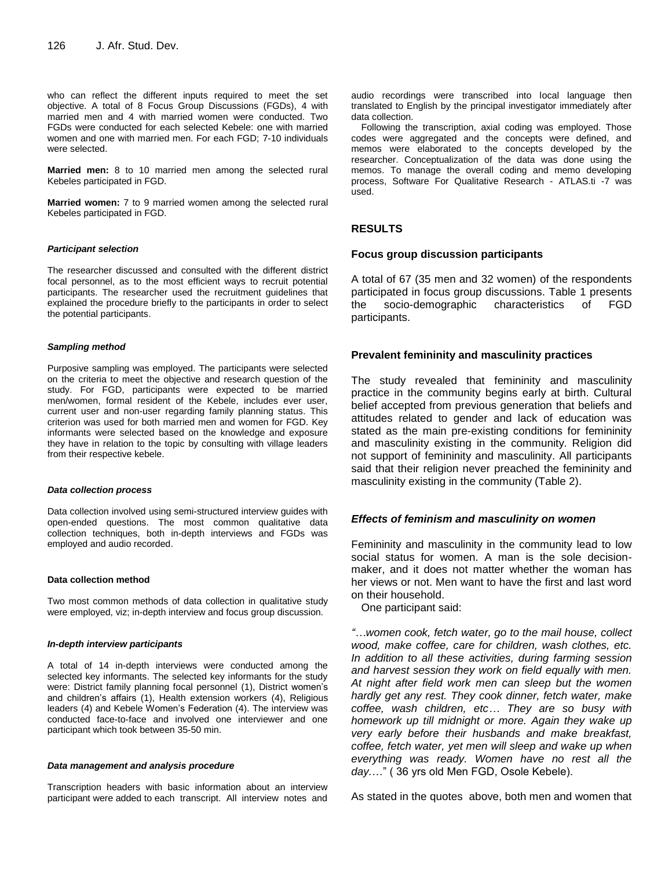who can reflect the different inputs required to meet the set objective. A total of 8 Focus Group Discussions (FGDs), 4 with married men and 4 with married women were conducted. Two FGDs were conducted for each selected Kebele: one with married women and one with married men. For each FGD; 7-10 individuals were selected.

**Married men:** 8 to 10 married men among the selected rural Kebeles participated in FGD.

**Married women:** 7 to 9 married women among the selected rural Kebeles participated in FGD.

#### *Participant selection*

The researcher discussed and consulted with the different district focal personnel, as to the most efficient ways to recruit potential participants. The researcher used the recruitment guidelines that explained the procedure briefly to the participants in order to select the potential participants.

#### *Sampling method*

Purposive sampling was employed. The participants were selected on the criteria to meet the objective and research question of the study. For FGD, participants were expected to be married men/women, formal resident of the Kebele, includes ever user, current user and non-user regarding family planning status. This criterion was used for both married men and women for FGD. Key informants were selected based on the knowledge and exposure they have in relation to the topic by consulting with village leaders from their respective kebele.

#### *Data collection process*

Data collection involved using semi-structured interview guides with open-ended questions. The most common qualitative data collection techniques, both in-depth interviews and FGDs was employed and audio recorded.

#### **Data collection method**

Two most common methods of data collection in qualitative study were employed, viz; in-depth interview and focus group discussion.

#### *In-depth interview participants*

A total of 14 in-depth interviews were conducted among the selected key informants. The selected key informants for the study were: District family planning focal personnel (1), District women's and children's affairs (1), Health extension workers (4), Religious leaders (4) and Kebele Women's Federation (4). The interview was conducted face-to-face and involved one interviewer and one participant which took between 35-50 min.

#### *Data management and analysis procedure*

Transcription headers with basic information about an interview participant were added to each transcript. All interview notes and audio recordings were transcribed into local language then translated to English by the principal investigator immediately after data collection.

Following the transcription, axial coding was employed. Those codes were aggregated and the concepts were defined, and memos were elaborated to the concepts developed by the researcher. Conceptualization of the data was done using the memos. To manage the overall coding and memo developing process, Software For Qualitative Research - ATLAS.ti -7 was used.

# **RESULTS**

#### **Focus group discussion participants**

A total of 67 (35 men and 32 women) of the respondents participated in focus group discussions. Table 1 presents the socio-demographic characteristics of FGD participants.

#### **Prevalent femininity and masculinity practices**

The study revealed that femininity and masculinity practice in the community begins early at birth. Cultural belief accepted from previous generation that beliefs and attitudes related to gender and lack of education was stated as the main pre-existing conditions for femininity and masculinity existing in the community. Religion did not support of femininity and masculinity. All participants said that their religion never preached the femininity and masculinity existing in the community (Table 2).

#### *Effects of feminism and masculinity on women*

Femininity and masculinity in the community lead to low social status for women. A man is the sole decisionmaker, and it does not matter whether the woman has her views or not. Men want to have the first and last word on their household.

One participant said:

*"…women cook, fetch water, go to the mail house, collect wood, make coffee, care for children, wash clothes, etc. In addition to all these activities, during farming session and harvest session they work on field equally with men. At night after field work men can sleep but the women hardly get any rest. They cook dinner, fetch water, make coffee, wash children, etc… They are so busy with homework up till midnight or more. Again they wake up very early before their husbands and make breakfast, coffee, fetch water, yet men will sleep and wake up when everything was ready. Women have no rest all the day.*…" ( 36 yrs old Men FGD, Osole Kebele).

As stated in the quotes above, both men and women that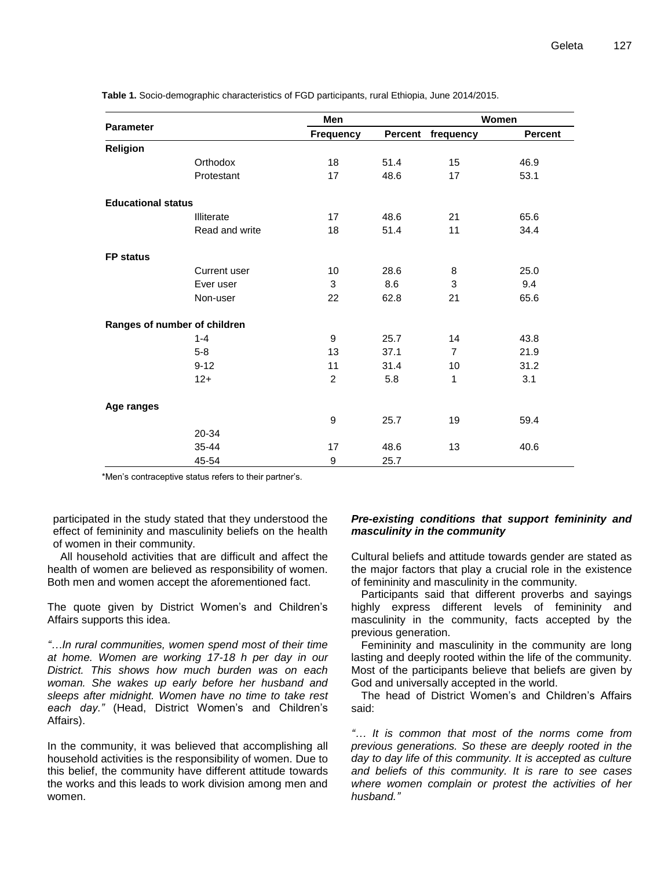|                           |                              | Men              | Women   |                |                |
|---------------------------|------------------------------|------------------|---------|----------------|----------------|
| <b>Parameter</b>          |                              | <b>Frequency</b> | Percent | frequency      | <b>Percent</b> |
| Religion                  |                              |                  |         |                |                |
|                           | Orthodox                     | 18               | 51.4    | 15             | 46.9           |
|                           | Protestant                   | 17               | 48.6    | 17             | 53.1           |
| <b>Educational status</b> |                              |                  |         |                |                |
|                           | Illiterate                   | 17               | 48.6    | 21             | 65.6           |
|                           | Read and write               | 18               | 51.4    | 11             | 34.4           |
| <b>FP</b> status          |                              |                  |         |                |                |
|                           | Current user                 | 10               | 28.6    | 8              | 25.0           |
|                           | Ever user                    | 3                | 8.6     | 3              | 9.4            |
|                           | Non-user                     | 22               | 62.8    | 21             | 65.6           |
|                           | Ranges of number of children |                  |         |                |                |
|                           | $1 - 4$                      | 9                | 25.7    | 14             | 43.8           |
|                           | $5 - 8$                      | 13               | 37.1    | $\overline{7}$ | 21.9           |
|                           | $9 - 12$                     | 11               | 31.4    | 10             | 31.2           |
|                           | $12+$                        | $\overline{2}$   | 5.8     | 1              | 3.1            |
| Age ranges                |                              |                  |         |                |                |
|                           |                              | 9                | 25.7    | 19             | 59.4           |
|                           | 20-34                        |                  |         |                |                |
|                           | 35-44                        | 17               | 48.6    | 13             | 40.6           |
|                           | 45-54                        | 9                | 25.7    |                |                |

**Table 1.** Socio-demographic characteristics of FGD participants, rural Ethiopia, June 2014/2015.

\*Men's contraceptive status refers to their partner's.

participated in the study stated that they understood the effect of femininity and masculinity beliefs on the health of women in their community.

All household activities that are difficult and affect the health of women are believed as responsibility of women. Both men and women accept the aforementioned fact.

The quote given by District Women's and Children's Affairs supports this idea.

*"…In rural communities, women spend most of their time at home. Women are working 17-18 h per day in our District. This shows how much burden was on each woman. She wakes up early before her husband and sleeps after midnight. Women have no time to take rest each day."* (Head, District Women's and Children's Affairs).

In the community, it was believed that accomplishing all household activities is the responsibility of women. Due to this belief, the community have different attitude towards the works and this leads to work division among men and women.

# *Pre-existing conditions that support femininity and masculinity in the community*

Cultural beliefs and attitude towards gender are stated as the major factors that play a crucial role in the existence of femininity and masculinity in the community.

Participants said that different proverbs and sayings highly express different levels of femininity and masculinity in the community, facts accepted by the previous generation.

Femininity and masculinity in the community are long lasting and deeply rooted within the life of the community. Most of the participants believe that beliefs are given by God and universally accepted in the world.

The head of District Women's and Children's Affairs said:

*"… It is common that most of the norms come from previous generations. So these are deeply rooted in the day to day life of this community. It is accepted as culture and beliefs of this community. It is rare to see cases where women complain or protest the activities of her husband."*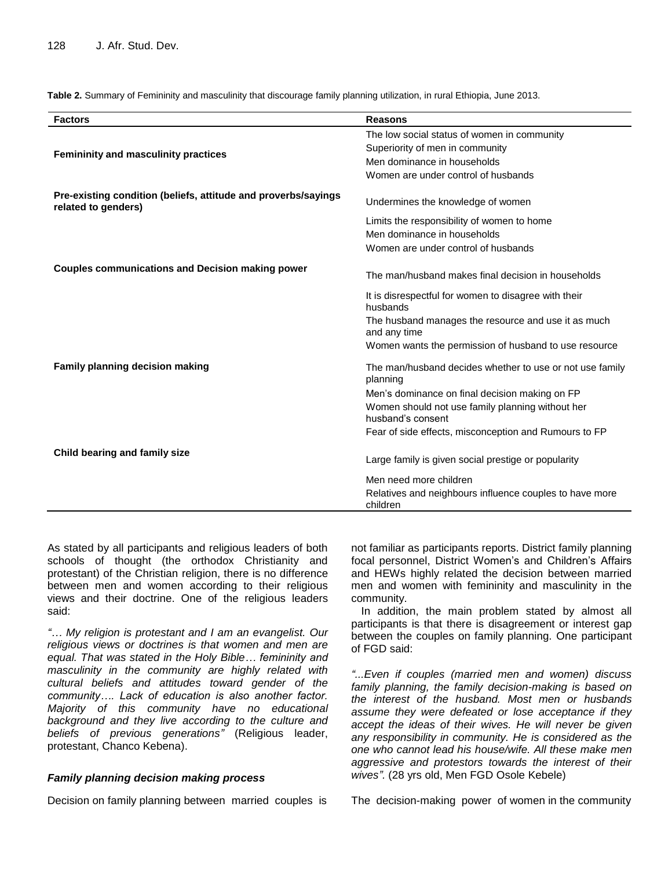**Table 2.** Summary of Femininity and masculinity that discourage family planning utilization, in rural Ethiopia, June 2013.

| <b>Factors</b>                                                                        | <b>Reasons</b>                                                        |  |  |
|---------------------------------------------------------------------------------------|-----------------------------------------------------------------------|--|--|
|                                                                                       | The low social status of women in community                           |  |  |
|                                                                                       | Superiority of men in community                                       |  |  |
| <b>Femininity and masculinity practices</b>                                           | Men dominance in households                                           |  |  |
|                                                                                       | Women are under control of husbands                                   |  |  |
| Pre-existing condition (beliefs, attitude and proverbs/sayings<br>related to genders) | Undermines the knowledge of women                                     |  |  |
|                                                                                       | Limits the responsibility of women to home                            |  |  |
|                                                                                       | Men dominance in households                                           |  |  |
|                                                                                       | Women are under control of husbands                                   |  |  |
| <b>Couples communications and Decision making power</b>                               | The man/husband makes final decision in households                    |  |  |
|                                                                                       | It is disrespectful for women to disagree with their<br>husbands      |  |  |
|                                                                                       | The husband manages the resource and use it as much<br>and any time   |  |  |
|                                                                                       | Women wants the permission of husband to use resource                 |  |  |
| <b>Family planning decision making</b>                                                | The man/husband decides whether to use or not use family<br>planning  |  |  |
|                                                                                       | Men's dominance on final decision making on FP                        |  |  |
|                                                                                       | Women should not use family planning without her<br>husband's consent |  |  |
|                                                                                       | Fear of side effects, misconception and Rumours to FP                 |  |  |
| Child bearing and family size                                                         |                                                                       |  |  |
|                                                                                       | Large family is given social prestige or popularity                   |  |  |
|                                                                                       | Men need more children                                                |  |  |
|                                                                                       | Relatives and neighbours influence couples to have more<br>children   |  |  |

As stated by all participants and religious leaders of both schools of thought (the orthodox Christianity and protestant) of the Christian religion, there is no difference between men and women according to their religious views and their doctrine. One of the religious leaders said:

*"… My religion is protestant and I am an evangelist. Our religious views or doctrines is that women and men are equal. That was stated in the Holy Bible… femininity and masculinity in the community are highly related with cultural beliefs and attitudes toward gender of the community…. Lack of education is also another factor. Majority of this community have no educational background and they live according to the culture and beliefs of previous generations"* (Religious leader, protestant, Chanco Kebena).

# *Family planning decision making process*

Decision on family planning between married couples is

not familiar as participants reports. District family planning focal personnel, District Women's and Children's Affairs and HEWs highly related the decision between married men and women with femininity and masculinity in the community.

In addition, the main problem stated by almost all participants is that there is disagreement or interest gap between the couples on family planning. One participant of FGD said:

*"...Even if couples (married men and women) discuss family planning, the family decision-making is based on the interest of the husband. Most men or husbands assume they were defeated or lose acceptance if they accept the ideas of their wives. He will never be given any responsibility in community. He is considered as the one who cannot lead his house/wife. All these make men aggressive and protestors towards the interest of their wives".* (28 yrs old, Men FGD Osole Kebele)

The decision-making power of women in the community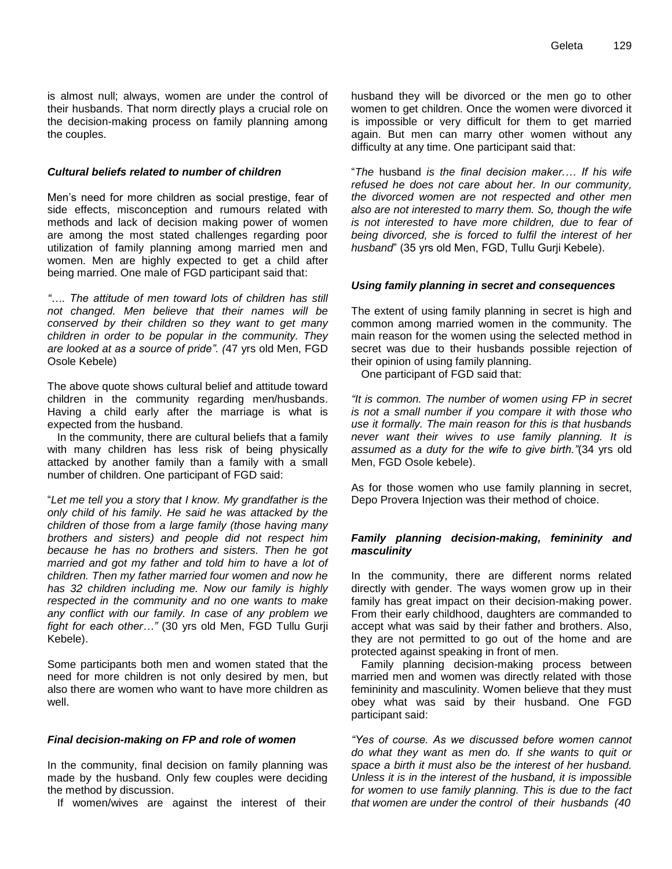is almost null; always, women are under the control of their husbands. That norm directly plays a crucial role on the decision-making process on family planning among the couples.

### *Cultural beliefs related to number of children*

Men's need for more children as social prestige, fear of side effects, misconception and rumours related with methods and lack of decision making power of women are among the most stated challenges regarding poor utilization of family planning among married men and women. Men are highly expected to get a child after being married. One male of FGD participant said that:

*"…. The attitude of men toward lots of children has still not changed. Men believe that their names will be conserved by their children so they want to get many children in order to be popular in the community. They are looked at as a source of pride". (*47 yrs old Men, FGD Osole Kebele)

The above quote shows cultural belief and attitude toward children in the community regarding men/husbands. Having a child early after the marriage is what is expected from the husband.

In the community, there are cultural beliefs that a family with many children has less risk of being physically attacked by another family than a family with a small number of children. One participant of FGD said:

"*Let me tell you a story that I know. My grandfather is the only child of his family. He said he was attacked by the children of those from a large family (those having many brothers and sisters) and people did not respect him because he has no brothers and sisters. Then he got married and got my father and told him to have a lot of children. Then my father married four women and now he has 32 children including me. Now our family is highly respected in the community and no one wants to make any conflict with our family. In case of any problem we fight for each other…"* (30 yrs old Men, FGD Tullu Gurji Kebele).

Some participants both men and women stated that the need for more children is not only desired by men, but also there are women who want to have more children as well.

#### *Final decision-making on FP and role of women*

In the community, final decision on family planning was made by the husband. Only few couples were deciding the method by discussion.

If women/wives are against the interest of their

husband they will be divorced or the men go to other women to get children. Once the women were divorced it is impossible or very difficult for them to get married again. But men can marry other women without any difficulty at any time. One participant said that:

"*The* husband *is the final decision maker.… If his wife refused he does not care about her. In our community, the divorced women are not respected and other men also are not interested to marry them. So, though the wife is not interested to have more children, due to fear of being divorced, she is forced to fulfil the interest of her husband*" (35 yrs old Men, FGD, Tullu Gurji Kebele).

#### *Using family planning in secret and consequences*

The extent of using family planning in secret is high and common among married women in the community. The main reason for the women using the selected method in secret was due to their husbands possible rejection of their opinion of using family planning.

One participant of FGD said that:

*"It is common. The number of women using FP in secret is not a small number if you compare it with those who use it formally. The main reason for this is that husbands never want their wives to use family planning. It is assumed as a duty for the wife to give birth."*(34 yrs old Men, FGD Osole kebele).

As for those women who use family planning in secret, Depo Provera Injection was their method of choice.

# *Family planning decision-making, femininity and masculinity*

In the community, there are different norms related directly with gender. The ways women grow up in their family has great impact on their decision-making power. From their early childhood, daughters are commanded to accept what was said by their father and brothers. Also, they are not permitted to go out of the home and are protected against speaking in front of men.

Family planning decision-making process between married men and women was directly related with those femininity and masculinity. Women believe that they must obey what was said by their husband. One FGD participant said:

*"Yes of course. As we discussed before women cannot do what they want as men do. If she wants to quit or space a birth it must also be the interest of her husband. Unless it is in the interest of the husband, it is impossible for women to use family planning. This is due to the fact that women are under the control of their husbands (40*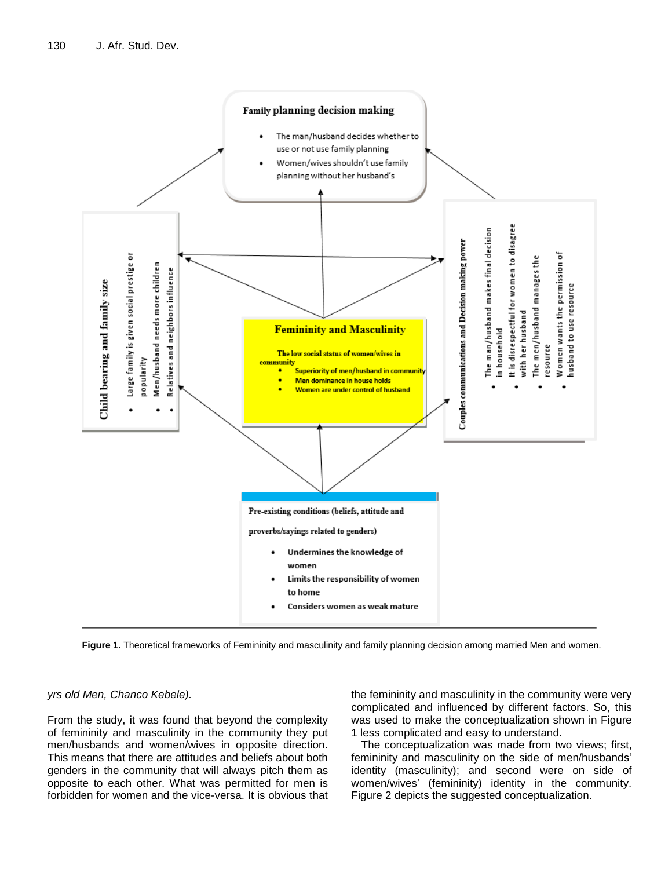

**Figure 1.** Theoretical frameworks of Femininity and masculinity and family planning decision among married Men and women.

# *yrs old Men, Chanco Kebele).*

From the study, it was found that beyond the complexity of femininity and masculinity in the community they put men/husbands and women/wives in opposite direction. This means that there are attitudes and beliefs about both genders in the community that will always pitch them as opposite to each other. What was permitted for men is forbidden for women and the vice-versa. It is obvious that the femininity and masculinity in the community were very complicated and influenced by different factors. So, this was used to make the conceptualization shown in Figure 1 less complicated and easy to understand.

The conceptualization was made from two views; first, femininity and masculinity on the side of men/husbands' identity (masculinity); and second were on side of women/wives' (femininity) identity in the community. Figure 2 depicts the suggested conceptualization.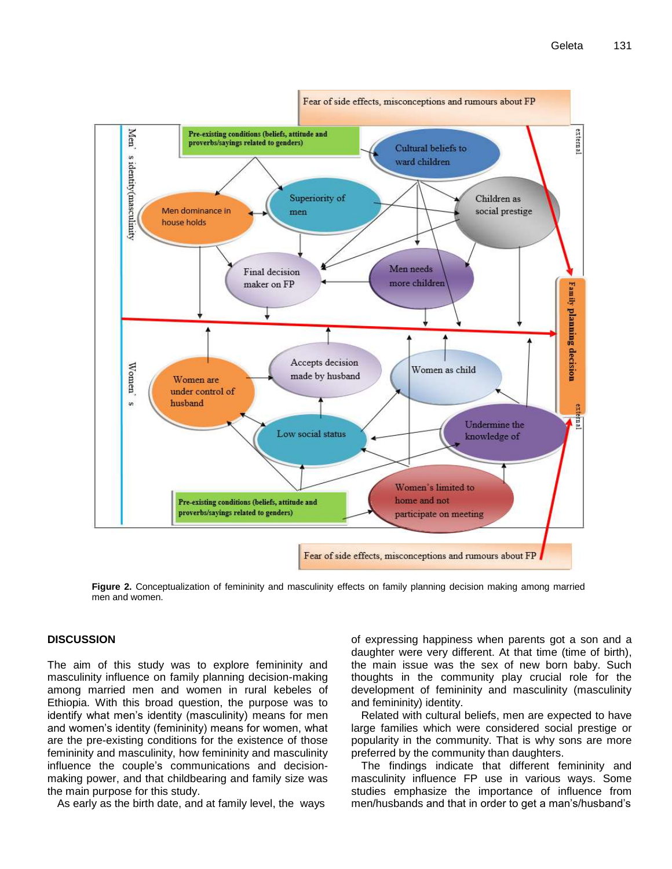

**Figure 2.** Conceptualization of femininity and masculinity effects on family planning decision making among married men and women.

# **DISCUSSION**

The aim of this study was to explore femininity and masculinity influence on family planning decision-making among married men and women in rural kebeles of Ethiopia. With this broad question, the purpose was to identify what men's identity (masculinity) means for men and women's identity (femininity) means for women, what are the pre-existing conditions for the existence of those femininity and masculinity, how femininity and masculinity influence the couple's communications and decisionmaking power, and that childbearing and family size was the main purpose for this study.

As early as the birth date, and at family level, the ways

of expressing happiness when parents got a son and a daughter were very different. At that time (time of birth), the main issue was the sex of new born baby. Such thoughts in the community play crucial role for the development of femininity and masculinity (masculinity and femininity) identity.

Related with cultural beliefs, men are expected to have large families which were considered social prestige or popularity in the community. That is why sons are more preferred by the community than daughters.

The findings indicate that different femininity and masculinity influence FP use in various ways. Some studies emphasize the importance of influence from men/husbands and that in order to get a man's/husband's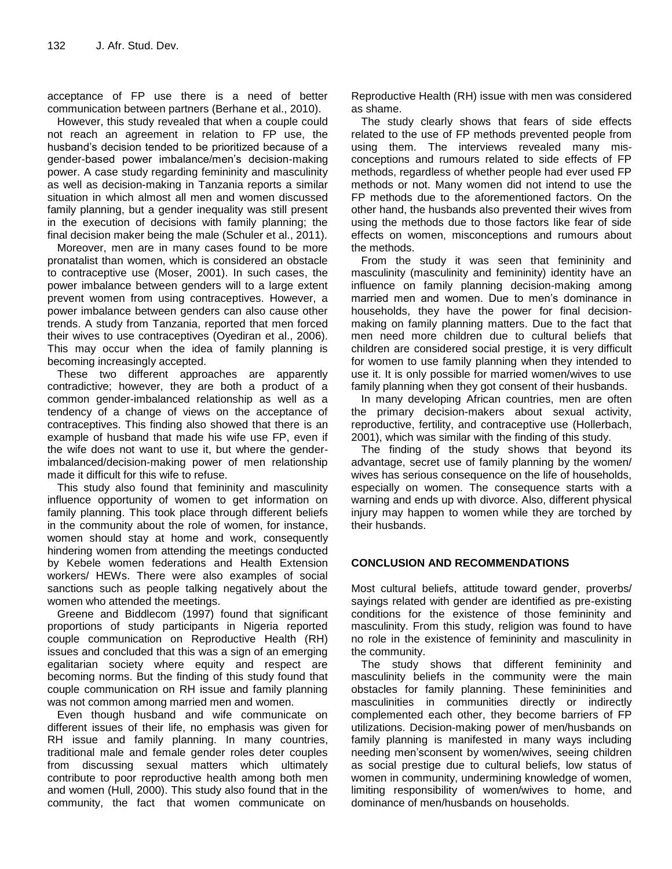acceptance of FP use there is a need of better communication between partners (Berhane et al., 2010).

However, this study revealed that when a couple could not reach an agreement in relation to FP use, the husband's decision tended to be prioritized because of a gender-based power imbalance/men's decision-making power. A case study regarding femininity and masculinity as well as decision-making in Tanzania reports a similar situation in which almost all men and women discussed family planning, but a gender inequality was still present in the execution of decisions with family planning; the final decision maker being the male (Schuler et al., 2011).

Moreover, men are in many cases found to be more pronatalist than women, which is considered an obstacle to contraceptive use (Moser, 2001). In such cases, the power imbalance between genders will to a large extent prevent women from using contraceptives. However, a power imbalance between genders can also cause other trends. A study from Tanzania, reported that men forced their wives to use contraceptives (Oyediran et al., 2006). This may occur when the idea of family planning is becoming increasingly accepted.

These two different approaches are apparently contradictive; however, they are both a product of a common gender-imbalanced relationship as well as a tendency of a change of views on the acceptance of contraceptives. This finding also showed that there is an example of husband that made his wife use FP, even if the wife does not want to use it, but where the genderimbalanced/decision-making power of men relationship made it difficult for this wife to refuse.

This study also found that femininity and masculinity influence opportunity of women to get information on family planning. This took place through different beliefs in the community about the role of women, for instance, women should stay at home and work, consequently hindering women from attending the meetings conducted by Kebele women federations and Health Extension workers/ HEWs. There were also examples of social sanctions such as people talking negatively about the women who attended the meetings.

Greene and Biddlecom (1997) found that significant proportions of study participants in Nigeria reported couple communication on Reproductive Health (RH) issues and concluded that this was a sign of an emerging egalitarian society where equity and respect are becoming norms. But the finding of this study found that couple communication on RH issue and family planning was not common among married men and women.

Even though husband and wife communicate on different issues of their life, no emphasis was given for RH issue and family planning. In many countries, traditional male and female gender roles deter couples from discussing sexual matters which ultimately contribute to poor reproductive health among both men and women (Hull, 2000). This study also found that in the community, the fact that women communicate on

Reproductive Health (RH) issue with men was considered as shame.

The study clearly shows that fears of side effects related to the use of FP methods prevented people from using them. The interviews revealed many misconceptions and rumours related to side effects of FP methods, regardless of whether people had ever used FP methods or not. Many women did not intend to use the FP methods due to the aforementioned factors. On the other hand, the husbands also prevented their wives from using the methods due to those factors like fear of side effects on women, misconceptions and rumours about the methods.

From the study it was seen that femininity and masculinity (masculinity and femininity) identity have an influence on family planning decision-making among married men and women. Due to men's dominance in households, they have the power for final decisionmaking on family planning matters. Due to the fact that men need more children due to cultural beliefs that children are considered social prestige, it is very difficult for women to use family planning when they intended to use it. It is only possible for married women/wives to use family planning when they got consent of their husbands.

In many developing African countries, men are often the primary decision-makers about sexual activity, reproductive, fertility, and contraceptive use (Hollerbach, 2001), which was similar with the finding of this study.

The finding of the study shows that beyond its advantage, secret use of family planning by the women/ wives has serious consequence on the life of households, especially on women. The consequence starts with a warning and ends up with divorce. Also, different physical injury may happen to women while they are torched by their husbands.

# **CONCLUSION AND RECOMMENDATIONS**

Most cultural beliefs, attitude toward gender, proverbs/ sayings related with gender are identified as pre-existing conditions for the existence of those femininity and masculinity. From this study, religion was found to have no role in the existence of femininity and masculinity in the community.

The study shows that different femininity and masculinity beliefs in the community were the main obstacles for family planning. These femininities and masculinities in communities directly or indirectly complemented each other, they become barriers of FP utilizations. Decision-making power of men/husbands on family planning is manifested in many ways including needing men'sconsent by women/wives, seeing children as social prestige due to cultural beliefs, low status of women in community, undermining knowledge of women, limiting responsibility of women/wives to home, and dominance of men/husbands on households.